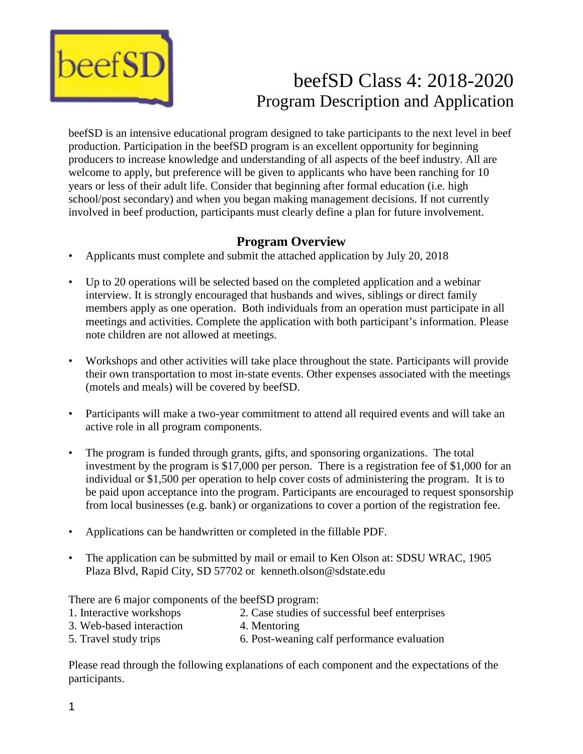

# beefSD Class 4: 2018-2020 Program Description and Application

beefSD is an intensive educational program designed to take participants to the next level in beef production. Participation in the beefSD program is an excellent opportunity for beginning producers to increase knowledge and understanding of all aspects of the beef industry. All are welcome to apply, but preference will be given to applicants who have been ranching for 10 years or less of their adult life. Consider that beginning after formal education (i.e. high school/post secondary) and when you began making management decisions. If not currently involved in beef production, participants must clearly define a plan for future involvement.

### **Program Overview**

- Applicants must complete and submit the attached application by July 20, 2018
- Up to 20 operations will be selected based on the completed application and a webinar interview. It is strongly encouraged that husbands and wives, siblings or direct family members apply as one operation. Both individuals from an operation must participate in all meetings and activities. Complete the application with both participant's information. Please note children are not allowed at meetings.
- Workshops and other activities will take place throughout the state. Participants will provide their own transportation to most in-state events. Other expenses associated with the meetings (motels and meals) will be covered by beefSD.
- Participants will make a two-year commitment to attend all required events and will take an active role in all program components.
- The program is funded through grants, gifts, and sponsoring organizations. The total investment by the program is \$17,000 per person. There is a registration fee of \$1,000 for an individual or \$1,500 per operation to help cover costs of administering the program. It is to be paid upon acceptance into the program. Participants are encouraged to request sponsorship from local businesses (e.g. bank) or organizations to cover a portion of the registration fee.
- Applications can be handwritten or completed in the fillable PDF.
- The application can be submitted by mail or email to Ken Olson at: SDSU WRAC, 1905 Plaza Blvd, Rapid City, SD 57702 or kenneth.olson@sdstate.edu

There are 6 major components of the beefSD program:

- 1. Interactive workshops 2. Case studies of successful beef enterprises
- 3. Web-based interaction 4. Mentoring
- 5. Travel study trips 6. Post-weaning calf performance evaluation

Please read through the following explanations of each component and the expectations of the participants.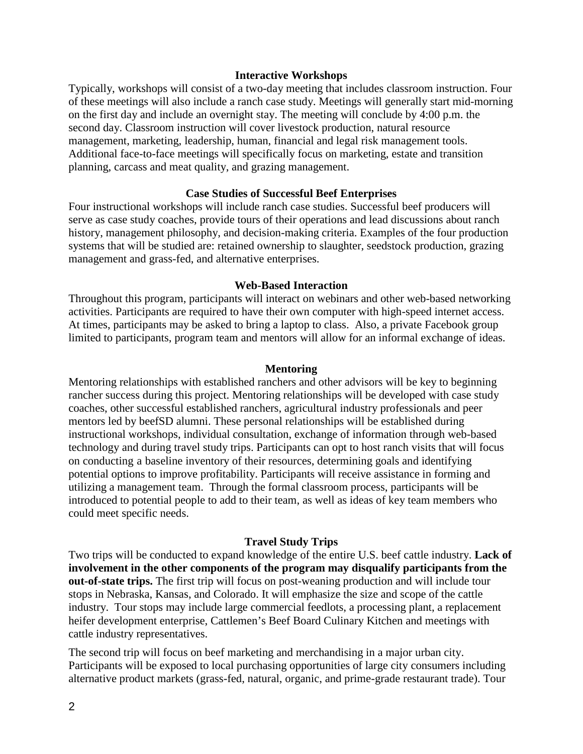#### **Interactive Workshops**

Typically, workshops will consist of a two-day meeting that includes classroom instruction. Four of these meetings will also include a ranch case study. Meetings will generally start mid-morning on the first day and include an overnight stay. The meeting will conclude by 4:00 p.m. the second day. Classroom instruction will cover livestock production, natural resource management, marketing, leadership, human, financial and legal risk management tools. Additional face-to-face meetings will specifically focus on marketing, estate and transition planning, carcass and meat quality, and grazing management.

#### **Case Studies of Successful Beef Enterprises**

Four instructional workshops will include ranch case studies. Successful beef producers will serve as case study coaches, provide tours of their operations and lead discussions about ranch history, management philosophy, and decision-making criteria. Examples of the four production systems that will be studied are: retained ownership to slaughter, seedstock production, grazing management and grass-fed, and alternative enterprises.

#### **Web-Based Interaction**

Throughout this program, participants will interact on webinars and other web-based networking activities. Participants are required to have their own computer with high-speed internet access. At times, participants may be asked to bring a laptop to class. Also, a private Facebook group limited to participants, program team and mentors will allow for an informal exchange of ideas.

#### **Mentoring**

Mentoring relationships with established ranchers and other advisors will be key to beginning rancher success during this project. Mentoring relationships will be developed with case study coaches, other successful established ranchers, agricultural industry professionals and peer mentors led by beefSD alumni. These personal relationships will be established during instructional workshops, individual consultation, exchange of information through web-based technology and during travel study trips. Participants can opt to host ranch visits that will focus on conducting a baseline inventory of their resources, determining goals and identifying potential options to improve profitability. Participants will receive assistance in forming and utilizing a management team. Through the formal classroom process, participants will be introduced to potential people to add to their team, as well as ideas of key team members who could meet specific needs.

#### **Travel Study Trips**

Two trips will be conducted to expand knowledge of the entire U.S. beef cattle industry. **Lack of involvement in the other components of the program may disqualify participants from the out-of-state trips.** The first trip will focus on post-weaning production and will include tour stops in Nebraska, Kansas, and Colorado. It will emphasize the size and scope of the cattle industry. Tour stops may include large commercial feedlots, a processing plant, a replacement heifer development enterprise, Cattlemen's Beef Board Culinary Kitchen and meetings with cattle industry representatives.

The second trip will focus on beef marketing and merchandising in a major urban city. Participants will be exposed to local purchasing opportunities of large city consumers including alternative product markets (grass-fed, natural, organic, and prime-grade restaurant trade). Tour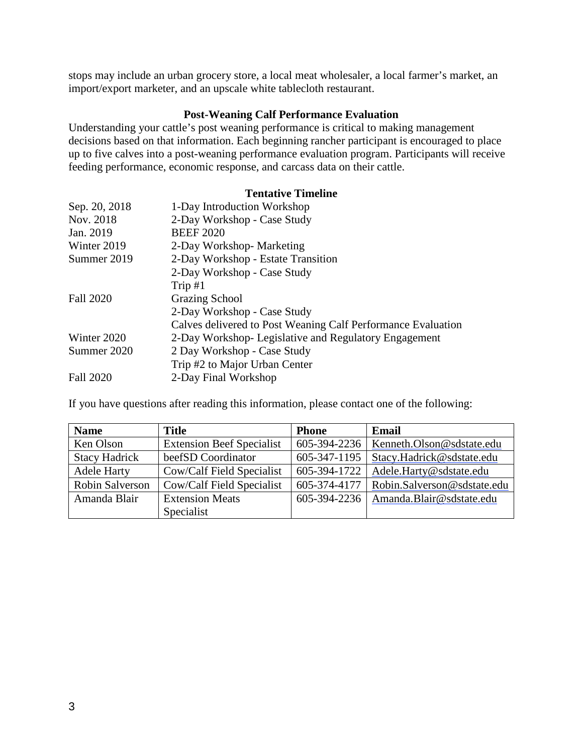stops may include an urban grocery store, a local meat wholesaler, a local farmer's market, an import/export marketer, and an upscale white tablecloth restaurant.

#### **Post-Weaning Calf Performance Evaluation**

Understanding your cattle's post weaning performance is critical to making management decisions based on that information. Each beginning rancher participant is encouraged to place up to five calves into a post-weaning performance evaluation program. Participants will receive feeding performance, economic response, and carcass data on their cattle.

#### **Tentative Timeline**

| Sep. 20, 2018    | 1-Day Introduction Workshop                                  |
|------------------|--------------------------------------------------------------|
| Nov. 2018        | 2-Day Workshop - Case Study                                  |
| Jan. 2019        | <b>BEEF 2020</b>                                             |
| Winter 2019      | 2-Day Workshop-Marketing                                     |
| Summer 2019      | 2-Day Workshop - Estate Transition                           |
|                  | 2-Day Workshop - Case Study                                  |
|                  | Trip $#1$                                                    |
| <b>Fall 2020</b> | <b>Grazing School</b>                                        |
|                  | 2-Day Workshop - Case Study                                  |
|                  | Calves delivered to Post Weaning Calf Performance Evaluation |
| Winter 2020      | 2-Day Workshop- Legislative and Regulatory Engagement        |
| Summer 2020      | 2 Day Workshop - Case Study                                  |
|                  | Trip #2 to Major Urban Center                                |
| <b>Fall 2020</b> | 2-Day Final Workshop                                         |

If you have questions after reading this information, please contact one of the following:

| <b>Name</b>          | <b>Title</b>                     | <b>Phone</b> | Email                       |
|----------------------|----------------------------------|--------------|-----------------------------|
| Ken Olson            | <b>Extension Beef Specialist</b> | 605-394-2236 | Kenneth.Olson@sdstate.edu   |
| <b>Stacy Hadrick</b> | beefSD Coordinator               | 605-347-1195 | Stacy.Hadrick@sdstate.edu   |
| <b>Adele Harty</b>   | Cow/Calf Field Specialist        | 605-394-1722 | Adele.Harty@sdstate.edu     |
| Robin Salverson      | Cow/Calf Field Specialist        | 605-374-4177 | Robin.Salverson@sdstate.edu |
| Amanda Blair         | <b>Extension Meats</b>           | 605-394-2236 | Amanda.Blair@sdstate.edu    |
|                      | Specialist                       |              |                             |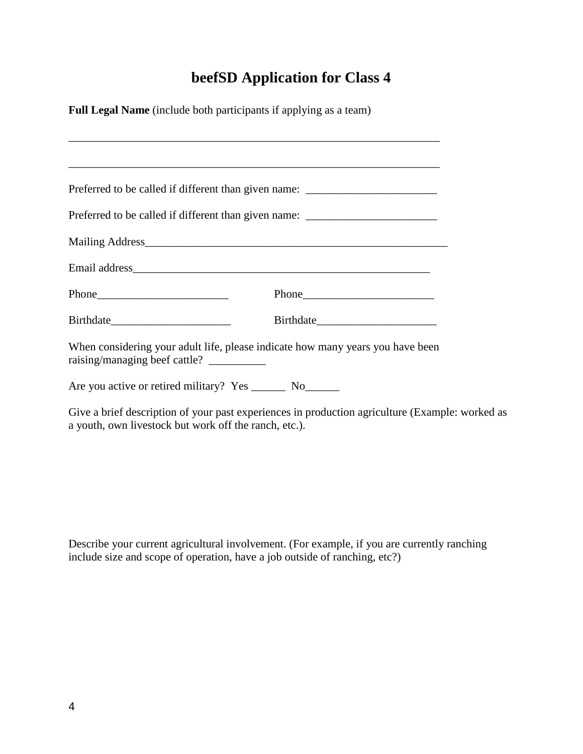## **beefSD Application for Class 4**

**Full Legal Name** (include both participants if applying as a team)

|                                                              | ,我们也不能在这里的时候,我们也不能在这里的时候,我们也不能会在这里的时候,我们也不能会在这里的时候,我们也不能会在这里的时候,我们也不能会在这里的时候,我们也不               |  |
|--------------------------------------------------------------|-------------------------------------------------------------------------------------------------|--|
|                                                              | Preferred to be called if different than given name: ___________________________                |  |
|                                                              | Preferred to be called if different than given name: ___________________________                |  |
|                                                              | Mailing Address                                                                                 |  |
|                                                              |                                                                                                 |  |
|                                                              |                                                                                                 |  |
|                                                              |                                                                                                 |  |
|                                                              | When considering your adult life, please indicate how many years you have been                  |  |
| Are you active or retired military? Yes _________ No________ |                                                                                                 |  |
| a youth, own livestock but work off the ranch, etc.).        | Give a brief description of your past experiences in production agriculture (Example: worked as |  |

Describe your current agricultural involvement. (For example, if you are currently ranching include size and scope of operation, have a job outside of ranching, etc?)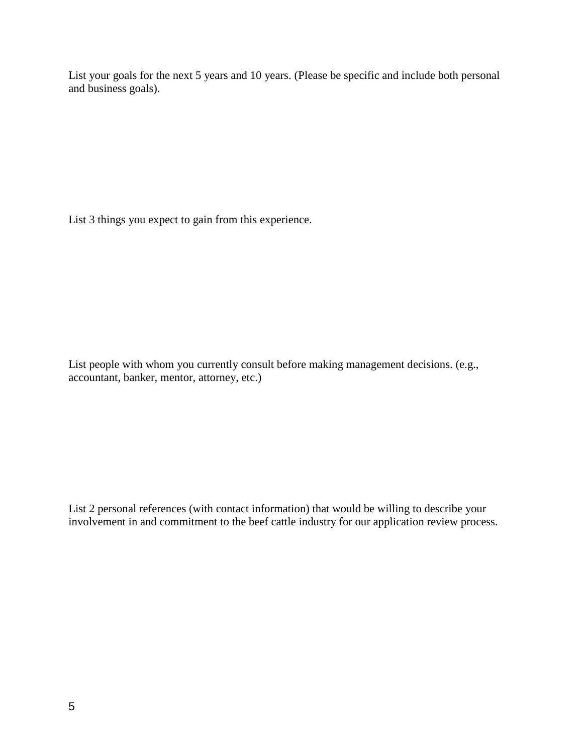List your goals for the next 5 years and 10 years. (Please be specific and include both personal and business goals).

List 3 things you expect to gain from this experience.

List people with whom you currently consult before making management decisions. (e.g., accountant, banker, mentor, attorney, etc.)

List 2 personal references (with contact information) that would be willing to describe your involvement in and commitment to the beef cattle industry for our application review process.